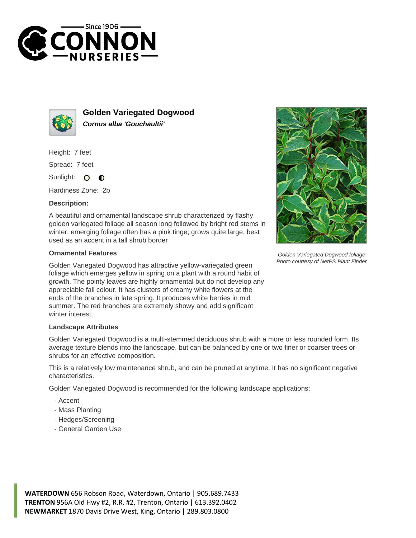



**Golden Variegated Dogwood Cornus alba 'Gouchaultii'**

Height: 7 feet

Spread: 7 feet

Sunlight:  $\circ$  $\bullet$ 

Hardiness Zone: 2b

## **Description:**

A beautiful and ornamental landscape shrub characterized by flashy golden variegated foliage all season long followed by bright red stems in winter, emerging foliage often has a pink tinge; grows quite large, best used as an accent in a tall shrub border

## **Ornamental Features**

Golden Variegated Dogwood has attractive yellow-variegated green foliage which emerges yellow in spring on a plant with a round habit of growth. The pointy leaves are highly ornamental but do not develop any appreciable fall colour. It has clusters of creamy white flowers at the ends of the branches in late spring. It produces white berries in mid summer. The red branches are extremely showy and add significant winter interest.



Golden Variegated Dogwood foliage Photo courtesy of NetPS Plant Finder

## **Landscape Attributes**

Golden Variegated Dogwood is a multi-stemmed deciduous shrub with a more or less rounded form. Its average texture blends into the landscape, but can be balanced by one or two finer or coarser trees or shrubs for an effective composition.

This is a relatively low maintenance shrub, and can be pruned at anytime. It has no significant negative characteristics.

Golden Variegated Dogwood is recommended for the following landscape applications;

- Accent
- Mass Planting
- Hedges/Screening
- General Garden Use

**WATERDOWN** 656 Robson Road, Waterdown, Ontario | 905.689.7433 **TRENTON** 956A Old Hwy #2, R.R. #2, Trenton, Ontario | 613.392.0402 **NEWMARKET** 1870 Davis Drive West, King, Ontario | 289.803.0800